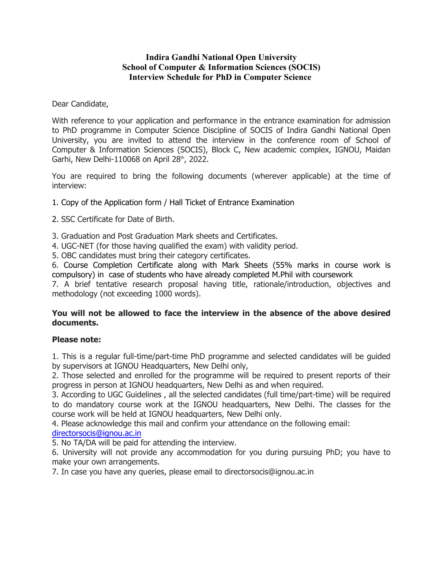## **Indira Gandhi National Open University School of Computer & Information Sciences (SOCIS) Interview Schedule for PhD in Computer Science**

Dear Candidate,

With reference to your application and performance in the entrance examination for admission to PhD programme in Computer Science Discipline of SOCIS of Indira Gandhi National Open University, you are invited to attend the interview in the conference room of School of Computer & Information Sciences (SOCIS), Block C, New academic complex, IGNOU, Maidan Garhi, New Delhi-110068 on April 28th, 2022.

You are required to bring the following documents (wherever applicable) at the time of interview:

1. Copy of the Application form / Hall Ticket of Entrance Examination

2. SSC Certificate for Date of Birth.

3. Graduation and Post Graduation Mark sheets and Certificates.

4. UGC-NET (for those having qualified the exam) with validity period.

5. OBC candidates must bring their category certificates.

6. Course Completion Certificate along with Mark Sheets (55% marks in course work is compulsory) in case of students who have already completed M.Phil with coursework

7. A brief tentative research proposal having title, rationale/introduction, objectives and methodology (not exceeding 1000 words).

## **You will not be allowed to face the interview in the absence of the above desired documents.**

## **Please note:**

1. This is a regular full-time/part-time PhD programme and selected candidates will be guided by supervisors at IGNOU Headquarters, New Delhi only,

2. Those selected and enrolled for the programme will be required to present reports of their progress in person at IGNOU headquarters, New Delhi as and when required.

3. According to UGC Guidelines , all the selected candidates (full time/part-time) will be required to do mandatory course work at the IGNOU headquarters, New Delhi. The classes for the course work will be held at IGNOU headquarters, New Delhi only.

4. Please acknowledge this mail and confirm your attendance on the following email:

## directorsocis@ignou.ac.in

5. No TA/DA will be paid for attending the interview.

6. University will not provide any accommodation for you during pursuing PhD; you have to make your own arrangements.

7. In case you have any queries, please email to directorsocis@ignou.ac.in